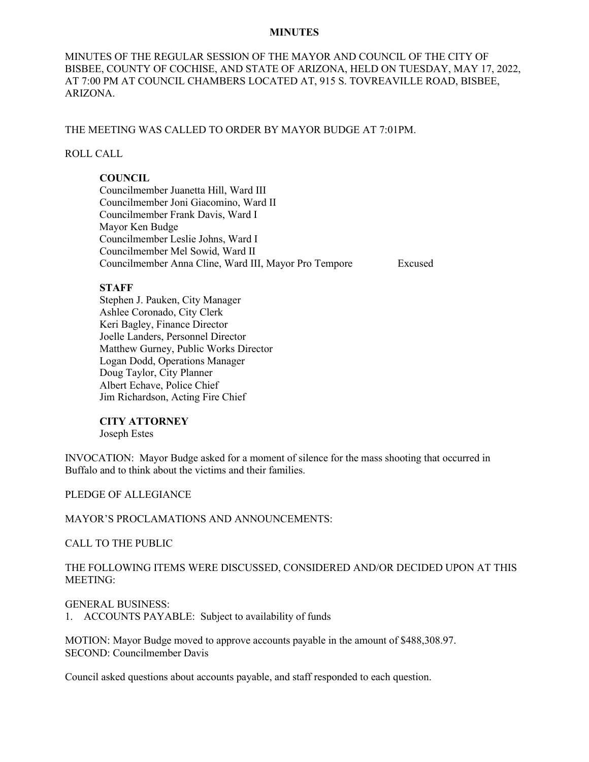#### **MINUTES**

MINUTES OF THE REGULAR SESSION OF THE MAYOR AND COUNCIL OF THE CITY OF BISBEE, COUNTY OF COCHISE, AND STATE OF ARIZONA, HELD ON TUESDAY, MAY 17, 2022, AT 7:00 PM AT COUNCIL CHAMBERS LOCATED AT, 915 S. TOVREAVILLE ROAD, BISBEE, ARIZONA.

# THE MEETING WAS CALLED TO ORDER BY MAYOR BUDGE AT 7:01PM.

# ROLL CALL

# **COUNCIL**

Councilmember Juanetta Hill, Ward III Councilmember Joni Giacomino, Ward II Councilmember Frank Davis, Ward I Mayor Ken Budge Councilmember Leslie Johns, Ward I Councilmember Mel Sowid, Ward II Councilmember Anna Cline, Ward III, Mayor Pro Tempore Excused

#### **STAFF**

Stephen J. Pauken, City Manager Ashlee Coronado, City Clerk Keri Bagley, Finance Director Joelle Landers, Personnel Director Matthew Gurney, Public Works Director Logan Dodd, Operations Manager Doug Taylor, City Planner Albert Echave, Police Chief Jim Richardson, Acting Fire Chief

## **CITY ATTORNEY**

Joseph Estes

INVOCATION: Mayor Budge asked for a moment of silence for the mass shooting that occurred in Buffalo and to think about the victims and their families.

## PLEDGE OF ALLEGIANCE

## MAYOR'S PROCLAMATIONS AND ANNOUNCEMENTS:

CALL TO THE PUBLIC

THE FOLLOWING ITEMS WERE DISCUSSED, CONSIDERED AND/OR DECIDED UPON AT THIS MEETING:

## GENERAL BUSINESS:

1. ACCOUNTS PAYABLE: Subject to availability of funds

MOTION: Mayor Budge moved to approve accounts payable in the amount of \$488,308.97. SECOND: Councilmember Davis

Council asked questions about accounts payable, and staff responded to each question.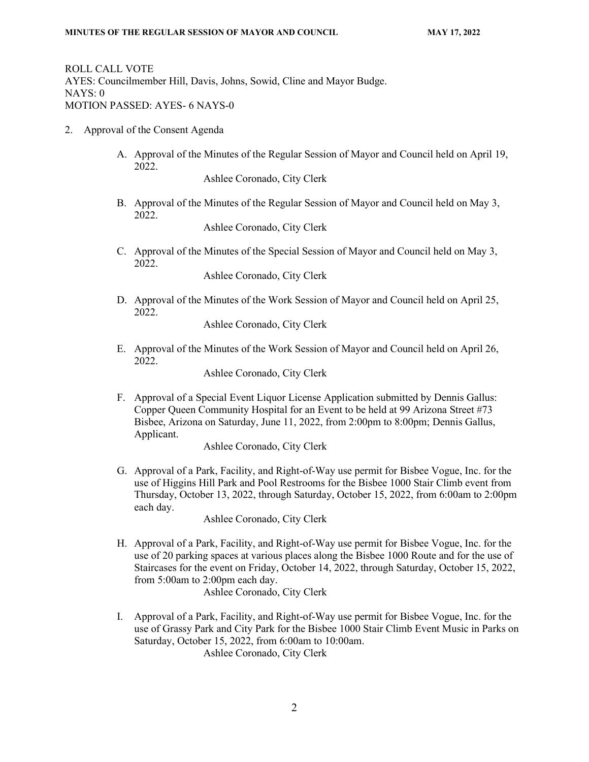ROLL CALL VOTE AYES: Councilmember Hill, Davis, Johns, Sowid, Cline and Mayor Budge. NAYS: 0 MOTION PASSED: AYES- 6 NAYS-0

- 2. Approval of the Consent Agenda
	- A. Approval of the Minutes of the Regular Session of Mayor and Council held on April 19, 2022.

Ashlee Coronado, City Clerk

B. Approval of the Minutes of the Regular Session of Mayor and Council held on May 3, 2022.

Ashlee Coronado, City Clerk

C. Approval of the Minutes of the Special Session of Mayor and Council held on May 3, 2022.

Ashlee Coronado, City Clerk

D. Approval of the Minutes of the Work Session of Mayor and Council held on April 25, 2022.

Ashlee Coronado, City Clerk

E. Approval of the Minutes of the Work Session of Mayor and Council held on April 26, 2022.

Ashlee Coronado, City Clerk

F. Approval of a Special Event Liquor License Application submitted by Dennis Gallus: Copper Queen Community Hospital for an Event to be held at 99 Arizona Street #73 Bisbee, Arizona on Saturday, June 11, 2022, from 2:00pm to 8:00pm; Dennis Gallus, Applicant.

Ashlee Coronado, City Clerk

G. Approval of a Park, Facility, and Right-of-Way use permit for Bisbee Vogue, Inc. for the use of Higgins Hill Park and Pool Restrooms for the Bisbee 1000 Stair Climb event from Thursday, October 13, 2022, through Saturday, October 15, 2022, from 6:00am to 2:00pm each day.

Ashlee Coronado, City Clerk

H. Approval of a Park, Facility, and Right-of-Way use permit for Bisbee Vogue, Inc. for the use of 20 parking spaces at various places along the Bisbee 1000 Route and for the use of Staircases for the event on Friday, October 14, 2022, through Saturday, October 15, 2022, from 5:00am to 2:00pm each day.

Ashlee Coronado, City Clerk

I. Approval of a Park, Facility, and Right-of-Way use permit for Bisbee Vogue, Inc. for the use of Grassy Park and City Park for the Bisbee 1000 Stair Climb Event Music in Parks on Saturday, October 15, 2022, from 6:00am to 10:00am.

Ashlee Coronado, City Clerk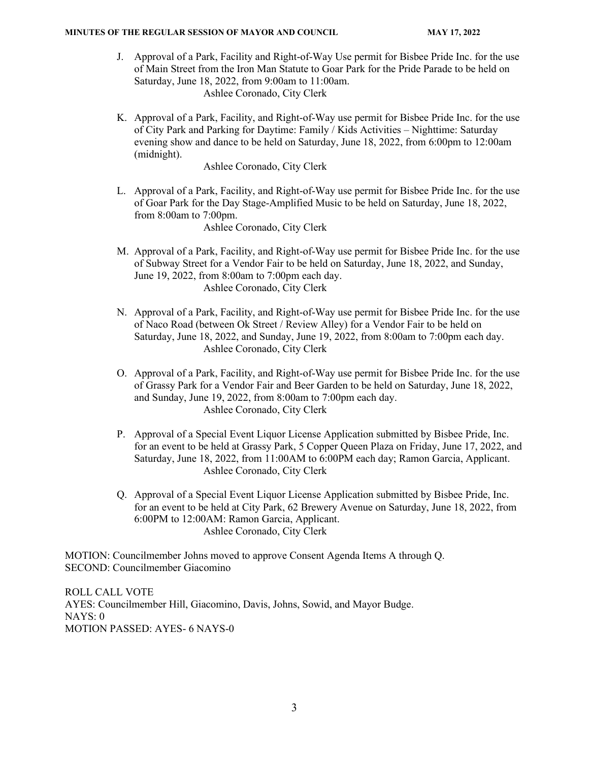#### **MINUTES OF THE REGULAR SESSION OF MAYOR AND COUNCIL MAY 17, 2022**

- J. Approval of a Park, Facility and Right-of-Way Use permit for Bisbee Pride Inc. for the use of Main Street from the Iron Man Statute to Goar Park for the Pride Parade to be held on Saturday, June 18, 2022, from 9:00am to 11:00am. Ashlee Coronado, City Clerk
- K. Approval of a Park, Facility, and Right-of-Way use permit for Bisbee Pride Inc. for the use of City Park and Parking for Daytime: Family / Kids Activities – Nighttime: Saturday evening show and dance to be held on Saturday, June 18, 2022, from 6:00pm to 12:00am (midnight).

Ashlee Coronado, City Clerk

L. Approval of a Park, Facility, and Right-of-Way use permit for Bisbee Pride Inc. for the use of Goar Park for the Day Stage-Amplified Music to be held on Saturday, June 18, 2022, from 8:00am to 7:00pm.

Ashlee Coronado, City Clerk

- M. Approval of a Park, Facility, and Right-of-Way use permit for Bisbee Pride Inc. for the use of Subway Street for a Vendor Fair to be held on Saturday, June 18, 2022, and Sunday, June 19, 2022, from 8:00am to 7:00pm each day. Ashlee Coronado, City Clerk
- N. Approval of a Park, Facility, and Right-of-Way use permit for Bisbee Pride Inc. for the use of Naco Road (between Ok Street / Review Alley) for a Vendor Fair to be held on Saturday, June 18, 2022, and Sunday, June 19, 2022, from 8:00am to 7:00pm each day. Ashlee Coronado, City Clerk
- O. Approval of a Park, Facility, and Right-of-Way use permit for Bisbee Pride Inc. for the use of Grassy Park for a Vendor Fair and Beer Garden to be held on Saturday, June 18, 2022, and Sunday, June 19, 2022, from 8:00am to 7:00pm each day. Ashlee Coronado, City Clerk
- P. Approval of a Special Event Liquor License Application submitted by Bisbee Pride, Inc. for an event to be held at Grassy Park, 5 Copper Queen Plaza on Friday, June 17, 2022, and Saturday, June 18, 2022, from 11:00AM to 6:00PM each day; Ramon Garcia, Applicant. Ashlee Coronado, City Clerk
- Q. Approval of a Special Event Liquor License Application submitted by Bisbee Pride, Inc. for an event to be held at City Park, 62 Brewery Avenue on Saturday, June 18, 2022, from 6:00PM to 12:00AM: Ramon Garcia, Applicant. Ashlee Coronado, City Clerk

MOTION: Councilmember Johns moved to approve Consent Agenda Items A through Q. SECOND: Councilmember Giacomino

ROLL CALL VOTE AYES: Councilmember Hill, Giacomino, Davis, Johns, Sowid, and Mayor Budge. NAYS: 0 MOTION PASSED: AYES- 6 NAYS-0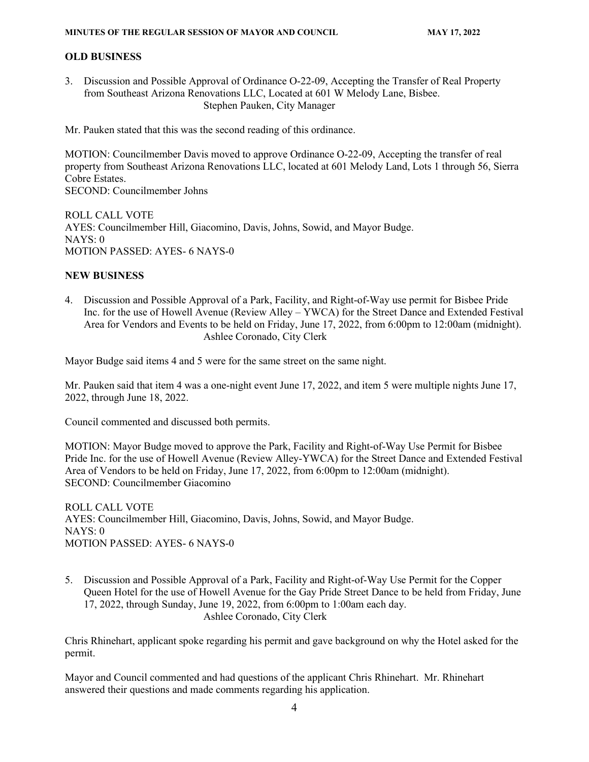# **OLD BUSINESS**

3. Discussion and Possible Approval of Ordinance O-22-09, Accepting the Transfer of Real Property from Southeast Arizona Renovations LLC, Located at 601 W Melody Lane, Bisbee. Stephen Pauken, City Manager

Mr. Pauken stated that this was the second reading of this ordinance.

MOTION: Councilmember Davis moved to approve Ordinance O-22-09, Accepting the transfer of real property from Southeast Arizona Renovations LLC, located at 601 Melody Land, Lots 1 through 56, Sierra Cobre Estates. SECOND: Councilmember Johns

ROLL CALL VOTE AYES: Councilmember Hill, Giacomino, Davis, Johns, Sowid, and Mayor Budge. NAYS: 0 MOTION PASSED: AYES- 6 NAYS-0

# **NEW BUSINESS**

4. Discussion and Possible Approval of a Park, Facility, and Right-of-Way use permit for Bisbee Pride Inc. for the use of Howell Avenue (Review Alley – YWCA) for the Street Dance and Extended Festival Area for Vendors and Events to be held on Friday, June 17, 2022, from 6:00pm to 12:00am (midnight). Ashlee Coronado, City Clerk

Mayor Budge said items 4 and 5 were for the same street on the same night.

Mr. Pauken said that item 4 was a one-night event June 17, 2022, and item 5 were multiple nights June 17, 2022, through June 18, 2022.

Council commented and discussed both permits.

MOTION: Mayor Budge moved to approve the Park, Facility and Right-of-Way Use Permit for Bisbee Pride Inc. for the use of Howell Avenue (Review Alley-YWCA) for the Street Dance and Extended Festival Area of Vendors to be held on Friday, June 17, 2022, from 6:00pm to 12:00am (midnight). SECOND: Councilmember Giacomino

ROLL CALL VOTE AYES: Councilmember Hill, Giacomino, Davis, Johns, Sowid, and Mayor Budge. NAYS: 0 MOTION PASSED: AYES- 6 NAYS-0

5. Discussion and Possible Approval of a Park, Facility and Right-of-Way Use Permit for the Copper Queen Hotel for the use of Howell Avenue for the Gay Pride Street Dance to be held from Friday, June 17, 2022, through Sunday, June 19, 2022, from 6:00pm to 1:00am each day. Ashlee Coronado, City Clerk

Chris Rhinehart, applicant spoke regarding his permit and gave background on why the Hotel asked for the permit.

Mayor and Council commented and had questions of the applicant Chris Rhinehart. Mr. Rhinehart answered their questions and made comments regarding his application.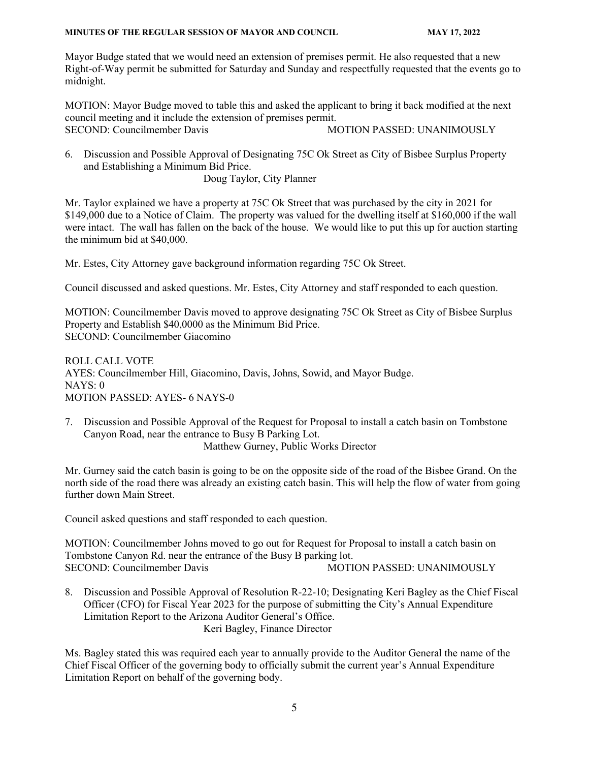#### **MINUTES OF THE REGULAR SESSION OF MAYOR AND COUNCIL MAY 17, 2022**

Mayor Budge stated that we would need an extension of premises permit. He also requested that a new Right-of-Way permit be submitted for Saturday and Sunday and respectfully requested that the events go to midnight.

MOTION: Mayor Budge moved to table this and asked the applicant to bring it back modified at the next council meeting and it include the extension of premises permit. SECOND: Councilmember Davis MOTION PASSED: UNANIMOUSLY

6. Discussion and Possible Approval of Designating 75C Ok Street as City of Bisbee Surplus Property and Establishing a Minimum Bid Price. Doug Taylor, City Planner

Mr. Taylor explained we have a property at 75C Ok Street that was purchased by the city in 2021 for \$149,000 due to a Notice of Claim. The property was valued for the dwelling itself at \$160,000 if the wall were intact. The wall has fallen on the back of the house. We would like to put this up for auction starting

Mr. Estes, City Attorney gave background information regarding 75C Ok Street.

the minimum bid at \$40,000.

Council discussed and asked questions. Mr. Estes, City Attorney and staff responded to each question.

MOTION: Councilmember Davis moved to approve designating 75C Ok Street as City of Bisbee Surplus Property and Establish \$40,0000 as the Minimum Bid Price. SECOND: Councilmember Giacomino

ROLL CALL VOTE AYES: Councilmember Hill, Giacomino, Davis, Johns, Sowid, and Mayor Budge. NAYS: 0 MOTION PASSED: AYES- 6 NAYS-0

7. Discussion and Possible Approval of the Request for Proposal to install a catch basin on Tombstone Canyon Road, near the entrance to Busy B Parking Lot. Matthew Gurney, Public Works Director

Mr. Gurney said the catch basin is going to be on the opposite side of the road of the Bisbee Grand. On the north side of the road there was already an existing catch basin. This will help the flow of water from going further down Main Street.

Council asked questions and staff responded to each question.

MOTION: Councilmember Johns moved to go out for Request for Proposal to install a catch basin on Tombstone Canyon Rd. near the entrance of the Busy B parking lot. SECOND: Councilmember Davis MOTION PASSED: UNANIMOUSLY

8. Discussion and Possible Approval of Resolution R-22-10; Designating Keri Bagley as the Chief Fiscal Officer (CFO) for Fiscal Year 2023 for the purpose of submitting the City's Annual Expenditure Limitation Report to the Arizona Auditor General's Office. Keri Bagley, Finance Director

Ms. Bagley stated this was required each year to annually provide to the Auditor General the name of the Chief Fiscal Officer of the governing body to officially submit the current year's Annual Expenditure Limitation Report on behalf of the governing body.